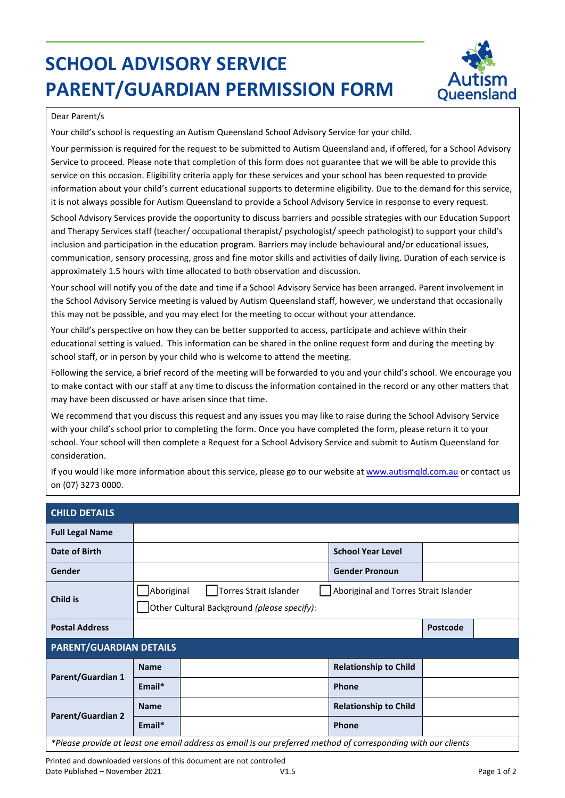## **SCHOOL ADVISORY SERVICE PARENT/GUARDIAN PERMISSION FORM**



## Dear Parent/s

Your child's school is requesting an Autism Queensland School Advisory Service for your child.

Your permission is required for the request to be submitted to Autism Queensland and, if offered, for a School Advisory Service to proceed. Please note that completion of this form does not guarantee that we will be able to provide this service on this occasion. Eligibility criteria apply for these services and your school has been requested to provide information about your child's current educational supports to determine eligibility. Due to the demand for this service, it is not always possible for Autism Queensland to provide a School Advisory Service in response to every request.

School Advisory Services provide the opportunity to discuss barriers and possible strategies with our Education Support and Therapy Services staff (teacher/ occupational therapist/ psychologist/ speech pathologist) to support your child's inclusion and participation in the education program. Barriers may include behavioural and/or educational issues, communication, sensory processing, gross and fine motor skills and activities of daily living. Duration of each service is approximately 1.5 hours with time allocated to both observation and discussion.

Your school will notify you of the date and time if a School Advisory Service has been arranged. Parent involvement in the School Advisory Service meeting is valued by Autism Queensland staff, however, we understand that occasionally this may not be possible, and you may elect for the meeting to occur without your attendance.

Your child's perspective on how they can be better supported to access, participate and achieve within their educational setting is valued. This information can be shared in the online request form and during the meeting by school staff, or in person by your child who is welcome to attend the meeting.

Following the service, a brief record of the meeting will be forwarded to you and your child's school. We encourage you to make contact with our staff at any time to discuss the information contained in the record or any other matters that may have been discussed or have arisen since that time.

We recommend that you discuss this request and any issues you may like to raise during the School Advisory Service with your child's school prior to completing the form. Once you have completed the form, please return it to your school. Your school will then complete a Request for a School Advisory Service and submit to Autism Queensland for consideration.

If you would like more information about this service, please go to our website at [www.autismqld.com.au](http://www.autismqld.com.au/) or contact us on (07) 3273 0000.

| <b>CHILD DETAILS</b>                                                                                          |                                                                                                                              |  |                 |  |  |                              |  |  |  |
|---------------------------------------------------------------------------------------------------------------|------------------------------------------------------------------------------------------------------------------------------|--|-----------------|--|--|------------------------------|--|--|--|
| <b>Full Legal Name</b>                                                                                        |                                                                                                                              |  |                 |  |  |                              |  |  |  |
| Date of Birth                                                                                                 |                                                                                                                              |  |                 |  |  | <b>School Year Level</b>     |  |  |  |
| Gender                                                                                                        |                                                                                                                              |  |                 |  |  | <b>Gender Pronoun</b>        |  |  |  |
| Child is                                                                                                      | Aboriginal<br>Torres Strait Islander<br>Aboriginal and Torres Strait Islander<br>Other Cultural Background (please specify): |  |                 |  |  |                              |  |  |  |
| <b>Postal Address</b>                                                                                         |                                                                                                                              |  | <b>Postcode</b> |  |  |                              |  |  |  |
| <b>PARENT/GUARDIAN DETAILS</b>                                                                                |                                                                                                                              |  |                 |  |  |                              |  |  |  |
| Parent/Guardian 1                                                                                             | <b>Name</b>                                                                                                                  |  |                 |  |  | <b>Relationship to Child</b> |  |  |  |
|                                                                                                               | $Email*$                                                                                                                     |  |                 |  |  | <b>Phone</b>                 |  |  |  |
| <b>Parent/Guardian 2</b>                                                                                      | <b>Name</b>                                                                                                                  |  |                 |  |  | <b>Relationship to Child</b> |  |  |  |
|                                                                                                               | $Email*$                                                                                                                     |  |                 |  |  | <b>Phone</b>                 |  |  |  |
| *Please provide at least one email address as email is our preferred method of corresponding with our clients |                                                                                                                              |  |                 |  |  |                              |  |  |  |